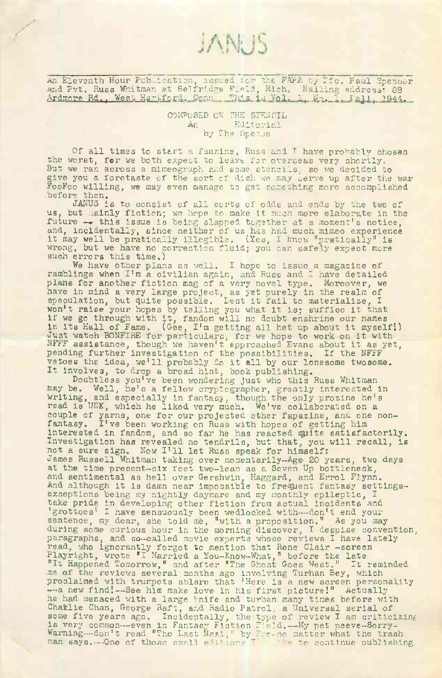An Eleventh Hour Publication, issued for the FAP<sup>A</sup> by Lfc. Paul Spencer and Pvt. Russ Whitman at Selfridge F.eld, Mich. Mailing address: 89 Ardmore Rd., West Hartford. Com. This is Vol. 1, No. 1, Eall, 1944.

JANUS

COMPOSED ON THE STENCIL An Editorial by The Spence

Of all times to start a fanzine, Russ and I have probably ohosen the worst, for we both expect to leave for overseas very shortly. But we ran across a mimeograph and some stencils, so we decided to give you a forctaste of the sort of dish we may serve up after the war FooFoo willing, we may even manage to get something more accomplished before then.

JANUS is to consist of all sorts of odds and ends by the two of UANUS IS to consist of all sorts of odds and ends by the two of<br>us, but mainly fiction; we hope to make it much more elaborate in the future —• this issue is being slapped together at <sup>a</sup> moment'<sup>s</sup> notice, and, incidentally, since neither of us has had much mimeo experience and, incluentarry, since herther of us has had much mimeo experient<br>it may well be pratically illegible. (Yes, I know "pratically" is wrong, but we have no correction fluid; you can safely expect more such errors this time.)

We have other plans as well. I hope to issue a magazine of ramblings when I'<sup>m</sup> <sup>a</sup> civilian again, and Russ and <sup>I</sup> have detailed plans for another fiction mag of a very novel type. Moreover, we have in mind a very large project, as yet purely in the realm of have in mind a very large project, as yet purely in the realm of<br>speculation, but quite possible. Lest it fail to materialize, I won't raise your hopes by telling you what it is; suffice it that if we go through with it, fandom will no doubt enshrine our names if we go through with it, fandom will no doubt enshrine our names<br>in its Hall of Fame. (Gee, I'm getting all het up about it myself!)<br>lust watch PONETEE for useriance in its hall of Fame. (Gee, 1'm getting all het up about it myself<br>Just watch BONFIRE for particulars, for we hope to work on it with Sust watch BONFIRE for particulars, for we hope to work on it with<br>NFFF assistance, though we haven't approached Evans about it as yet, pending further investigation of the possibilities. If the NFFF vetoes the idea, we'll probably do it all by our lonesome twosome. It Involves, to drop <sup>a</sup> broad hint, book publishing.

Doubtless you've been wondering Just who this Russ Whitman may be. Well, he's a fellow cryptographer, greatly interested in writing, and especially in fantasy, though the only prozine he's read is UNK, which he liked very much. We've collaborated on a couple of yarns, one for our projected other fapazine, and one noncouple of yarns, one for our projected other fapazine, and on<br>fantasy. I've been working on Russ with hopes of getting him interested in fandom, and so far he has reacted quite satisfactorily. Investigation has revealed no tendrils, but that, you will recall, is<br>not a sure sign. Now I'll let Russ speak for himself: James Russell Whitman taking over momentarily-Age^ BO years, two days at the time present-six feet two-lean as a Seven Up bottleneck, and sentimental as hell over Gershwin, Haggard, and Errol Flynn. And although it is damn near impossible to frequent fantasy settingsexceptions being my nightly daymare and my monthly epileptic, I take pride in developing other fiction from actual Incidents and 'grottoes' I have sensuously been wedlocked with—don't end your sentence, my dear, she told me, "with a proposition." As you may during some curious hour in the morning discover, I despise convention, paragraphs, and so-called movie experts whose reviews I have lately read, who ignorantly forgot to mention that Rene Clair -screen Playright, wrote 'I Married a You-Know-What," before the late "It Happened Tomorrow," and after "The Ghost Goes West." It reminded me af the reviews several months ago involving Turhan Bey, which proclaimed with trumpets ablare that 'Here is a new screen personality --a new find!--See him make love in his first picture!" Actually he had menaced with a large knife and turban many times before with Chatlie Chan, George Raft, and Radio Patrol, a Universal serial of some five years ago. Incidentally, the type of review I am criticizing is very common—even in Fantasy Fiction Field.—My pet peeve-Sorry-Warning—don't read "The Last Nazi," by Frc-no matter what the trash man says.--One of those small editions <sup>I</sup> ':e to continue publishing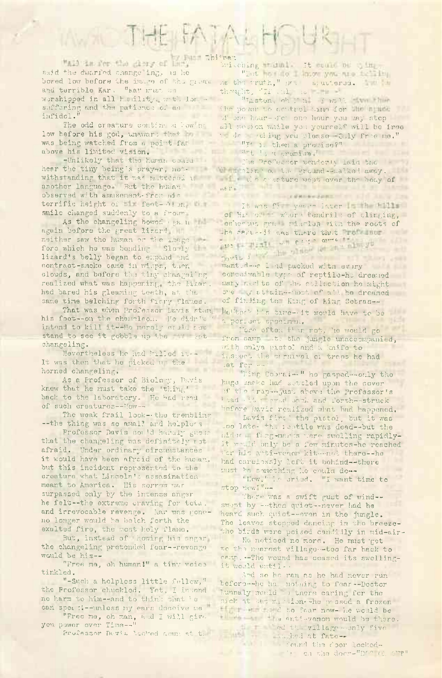## THE FATALH

"All is for the disry of Hings Thitpan said the dwarfed change'ing, as he and terrible Kar. "Kay must on worshipped in all hemility with lor, suffering and the patience of an infidel."

The odd creature continued howing low before his god, unaward that he was being watched from a point fall above his limited vision.

-Unlikely that the human conid another language But the human her her observed with amusement from his terrific height of Ell feat-Wien William It was factor favor in the till smile changed suddenly to a frown

As the changeling bowed (ga. n = - again before the great lizard neither saw the human or the image fore which he was bending. Slowly lizard's belly began to empand and contract-smoke came in wisps, then clouds, and before the tiny changeling realized what was happening, the Mizar. had bared his gleaming teeth, at the same time belching forth ficry flames.

That was when Professor Davis stam his foot -- on the channleon. He didn't intend to kill it -- He merely equid for stand to see it gobble up the the sit changeling.

Nevertheless he had hilled it --It was then that he picked us the horned changeling.

As a Professor of Biology, Davis knew that he must take the 'thing' back to the laboratory. He had read of such creatures--Now--

The weak frail look-the trembling --the thing was so amall and heipless

Professor Davis could haraly guess that the changeling was definitely rot afraid. Under ordinary circumstances it would have been afraid of the human. but this incident represented to the creature what Lincoln's assasination meant to America. His sorrow was surpassed only by the intense anger he felt--the extreme craving for tota. and irrevocable revenge. Lar was goneno longer would he belch forth the exalted fire, the most holy flame.

But, instead of howing his engar the changeling pretended fear--revenge would be his--

"Free me, oh human!" a tiny voice tinkled.

"-Such a holpless little fellow," the Professor chuckled. Yet, I imtend no harm to him--and to think that be can sper : 1--unless ny ears deceive me "

"Free ma, oh man, and I will give. you power over Time -- "

Professor Devis Lacked down at the

bwitching friml it could be gim. "But you not know you we take the bowed low before the image of the great me the truth," or a uttersd. thought, 'IT .ul to the

"Laton, oh I'm I will we then the power to control time for the himse of one hour-sich one hour you may stop all notion while you yourself will be free to determing you please thly free me."

" "" i, then a promise?"

Websinding wat der und

The Prefector wenderly laid the hear the tiny being's prayer, not- when alix of the ground-malked away. withstanding that it was mattered in the same we went over the boay of

## **COLLANSON**

of Hr ow where tendril: of clinging, cenerate gramminals with the roots of the dare -- it was there that roll mur-The Highland Chip orne is  $Dovis$   $I$ 

want d-e 1 d packed with every corceivable type of reptilo-ho dreamed mary nurl ts of the collection he might one my attain -- wat of all he dreamed of finding the King of hing Cobras-hettock his time- it would have to be a periset specimen.

More often than rot, he would go from earn to the jungle unaccompanied, **Canada** with onlys pistol and a knife to inspect the criminal of traps he had set for an

"Hing Cobrain " he gasped -- only the huge shake had settled upon the cover of the trap-"just above the Professor's bed at revel back and forth-struck before Davis realized what had happened.

Davis fire ! the pistol, but it was .oo late- +h. isstile was dead -- but the nider fargemarts were swelling rapidlyit would only be a few minutes-he reached for his auti-venom kit-mot there--he had carelessly left it behind -- there must he semething he equile do --

"How," he cried. "I want time to stop new'" ...

There was a swift gust of wind-swort by ---then quiet--never had he heard such quiet--even in the jungle. The leaves stopped dancing in the breezethe birds were poised candidly in mid-air-

He noticed no more. He must get to the mearest village-too far back to camp. -- The wound has ceased its swellingit would until..

And so he ran as he had never run beforo--he has nothing to fear--Doctor Lunnaly would st there caring for the sick at the mission-whe passed a frezen finition of the foar now- he would be there . The anti-venom would be there.

**ANTI** 

ed the village monly five

I found the door locked-The carthe door-"DO" (2 OF"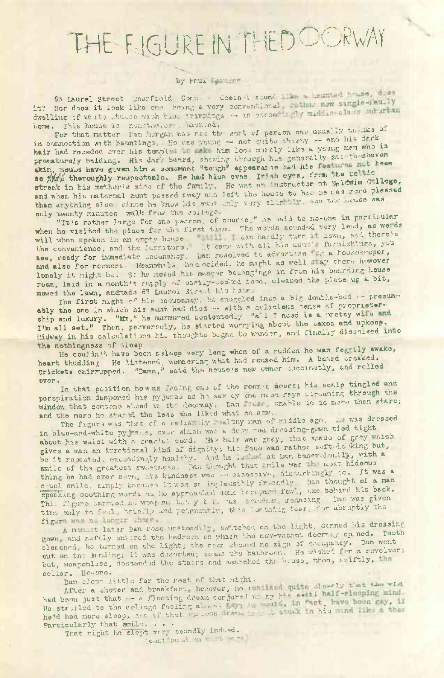## THE FIGURE IN THED OORWAY

## by Paul The Law

63 Laurel Street Desrfield. Comme . Coean't sound the housing heads dies it? Nor does it look like one boing a very conventional stating margle-showily home. This house is nonctheases, auntes.

For that matter, Ian Morgan was not the sort of person one usually thanks of in connection with hauntings. He was young - not suits thirty -- and his dark hair had receded over his templan or make him look morely like a young men who is prematurely balding. His dark beard, showing through his generally sac theshaven skin, would have given him a somewhat "tough" appearate had his so this theroughly respectable. He had blun eves, Irish eyes, from the Cestic streak in his mether's side of the family. He was an instructor at 3glewin Gulego, and when his naternal aunt passed away and left the house to him he was more pleased than anything else, since he know his aunt may very slight the head scuss was only twenty minutes. walk from the college.

"It's rather large for one person, of course," as said to no-one in particular will whon spoken in an empty house. It can hardly turn down, and there's see, ready for immediate cocupancy. Dan rosolved to advertise to a housekeeper, and also for reconors. Heanwhole had ocided, he might as well car there however lonely it might be. So he noved his meager beiongings in from his bearding house room, laid in a month's supply of earlly-codued food, cleaned the place up a bit, mowed the lawn, andrade 63 Laurei Street his hone.

The first night of his becupancy, he snuggled into a big double-bed -- presumably the one in which his sunt had died -- with a delicious sense of proprietership and luxury. "Mr," he murmured contented: "all I noed is a pretty will and I'm all set." Then, perversely, he started worrying about the taxes and upkeep. Midway in his calculations his thoughts began to winder, and finally disselved in o the nothingness of sleep

He couldn't have been asleep very long when of a sudden he was feggily awake, heart thudding He Mistened, wondering what had roused him. A beard crosked. Crickets chirrupped. "Damn," said the house's new owner tucoinatly, and rolled pver.

In that position how as facing one of the recmet decas; his scalp tingled and perspiration dampened his pyjunas as ho saw oy the meon rays etreaming through the window hat someone steed in the doorway. Dan whatle to do more than stare; and the more he stared the less the liked what he saw.

The fagure was that of a radia by Halthy man of middle age. Whas dressed in blue-and-white pyjames, over which was a deep wed dressing-gown tied tight about his waist with a crastet cerd. His hair was grey, that shade of grey which gives a man an irretional kind of dignity; his face was rather seft-looking but, be it reseated. exceedingly healthy. And he is at hen benevelently, with a smile of the greatest exactness. Ban thrught that mile was I most hideous thing he had ever sam, its kindness was -- excessive, airburbing, to, jt was a c uel smile, simply because it was so implausibly friendly Dan thought of a man specking southing words as he approached some termyard fow., axe behind his back. This figure carried no weapon, but yie is was someone memoring. Dan was given time only to feel, briefly and peignantly, this loathing fear, for abraptly the figura was no Lunger thans.

A moment later Dan rose unsteadily, switched on the light, denned his dressing gown and sofaly on ared the bedreem on which the nov-vacant docreay opened. Teeth clenencd, he turned on the light; the reem showed no sign of coupency. Dan went out on the landing; it was deserted; sowis the hathroom. He wished for a revolver, but, weaponless, dosemedd the stairs and searched the neuse, then, swiftly, the cellar. Ne-one.

Dan slept little for the rest of that night.

After a shower and breakfast hevever, he is look quite change that the via had been just that -- a flocting dream conjured up by his weill half-slooping mind. He strilled to the college facing amos. The company of the fact, measured and the state of the state of the countries of the state of the state of the state of the state of the state of the state of the state of the state Particularly that smile...

That right he slept very soundly indeed. I can't meat me to sage